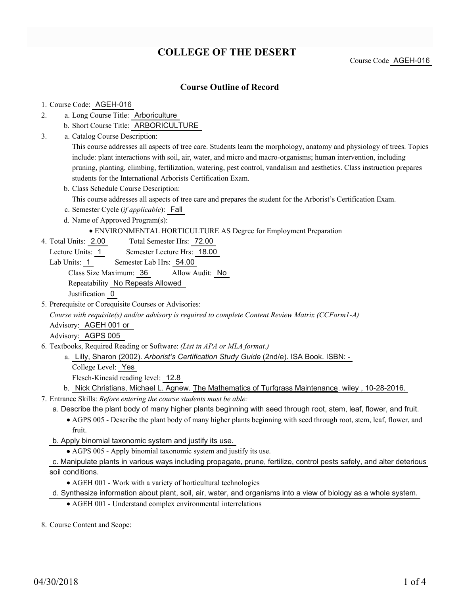# **COLLEGE OF THE DESERT**

Course Code AGEH-016

### **Course Outline of Record**

- 1. Course Code: AGEH-016
- a. Long Course Title: Arboriculture 2.
	- b. Short Course Title: ARBORICULTURE
- Catalog Course Description: a. 3.

This course addresses all aspects of tree care. Students learn the morphology, anatomy and physiology of trees. Topics include: plant interactions with soil, air, water, and micro and macro-organisms; human intervention, including pruning, planting, climbing, fertilization, watering, pest control, vandalism and aesthetics. Class instruction prepares students for the International Arborists Certification Exam.

b. Class Schedule Course Description:

This course addresses all aspects of tree care and prepares the student for the Arborist's Certification Exam.

- c. Semester Cycle (*if applicable*): Fall
- d. Name of Approved Program(s):
	- ENVIRONMENTAL HORTICULTURE AS Degree for Employment Preparation
- Total Semester Hrs: 72.00 4. Total Units: 2.00
	- Lecture Units: 1 Semester Lecture Hrs: 18.00
	- Lab Units: 1 Semester Lab Hrs: 54.00

Class Size Maximum: 36 Allow Audit: No

Repeatability No Repeats Allowed

Justification 0

5. Prerequisite or Corequisite Courses or Advisories:

*Course with requisite(s) and/or advisory is required to complete Content Review Matrix (CCForm1-A)*

Advisory: AGEH 001 or

Advisory: AGPS 005

Textbooks, Required Reading or Software: *(List in APA or MLA format.)* 6.

Lilly, Sharon (2002). *Arborist's Certification Study Guide* (2nd/e). ISA Book. ISBN: - a.

College Level: Yes

Flesch-Kincaid reading level: 12.8

- b. Nick Christians, Michael L. Agnew. The Mathematics of Turfgrass Maintenance. wiley, 10-28-2016.
- Entrance Skills: *Before entering the course students must be able:* 7.

a. Describe the plant body of many higher plants beginning with seed through root, stem, leaf, flower, and fruit.

- AGPS 005 Describe the plant body of many higher plants beginning with seed through root, stem, leaf, flower, and fruit.
- b. Apply binomial taxonomic system and justify its use.
	- AGPS 005 Apply binomial taxonomic system and justify its use.

- AGEH 001 Work with a variety of horticultural technologies
- d. Synthesize information about plant, soil, air, water, and organisms into a view of biology as a whole system.
	- AGEH 001 Understand complex environmental interrelations

8. Course Content and Scope:

c. Manipulate plants in various ways including propagate, prune, fertilize, control pests safely, and alter deterious soil conditions.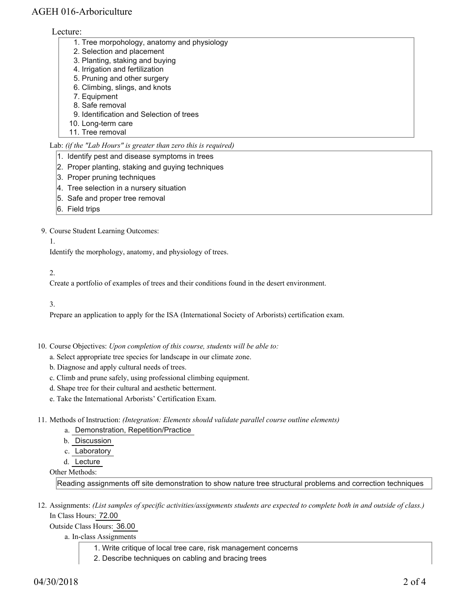## AGEH 016-Arboriculture

#### Lecture:

- 1. Tree morpohology, anatomy and physiology
- 2. Selection and placement
- 3. Planting, staking and buying
- 4. Irrigation and fertilization
- 5. Pruning and other surgery
- 6. Climbing, slings, and knots 7. Equipment
- 8. Safe removal
- 9. Identification and Selection of trees
- 10. Long-term care
- 11. Tree removal

#### Lab: *(if the "Lab Hours" is greater than zero this is required)*

- 1. Identify pest and disease symptoms in trees
- 2. Proper planting, staking and guying techniques
- 3. Proper pruning techniques
- 4. Tree selection in a nursery situation
- 5. Safe and proper tree removal
- 6. Field trips

#### 9. Course Student Learning Outcomes:

1.

Identify the morphology, anatomy, and physiology of trees.

#### 2.

Create a portfolio of examples of trees and their conditions found in the desert environment.

3.

Prepare an application to apply for the ISA (International Society of Arborists) certification exam.

- 10. Course Objectives: Upon completion of this course, students will be able to:
	- a. Select appropriate tree species for landscape in our climate zone.
	- b. Diagnose and apply cultural needs of trees.
	- c. Climb and prune safely, using professional climbing equipment.
	- d. Shape tree for their cultural and aesthetic betterment.
	- e. Take the International Arborists' Certification Exam.
- Methods of Instruction: *(Integration: Elements should validate parallel course outline elements)* 11.
	- a. Demonstration, Repetition/Practice
		- b. Discussion
		- c. Laboratory
		- d. Lecture

Other Methods:

Reading assignments off site demonstration to show nature tree structural problems and correction techniques

12. Assignments: (List samples of specific activities/assignments students are expected to complete both in and outside of class.) In Class Hours: 72.00

Outside Class Hours: 36.00

a. In-class Assignments

- 1. Write critique of local tree care, risk management concerns
- 2. Describe techniques on cabling and bracing trees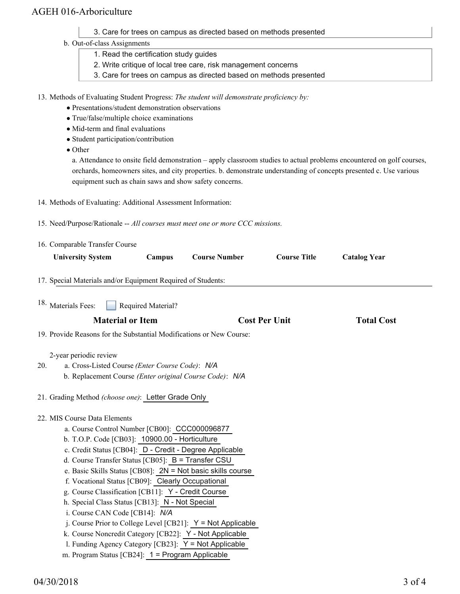## AGEH 016-Arboriculture

- 3. Care for trees on campus as directed based on methods presented
- b. Out-of-class Assignments
	- 1. Read the certification study guides
	- 2. Write critique of local tree care, risk management concerns
	- 3. Care for trees on campus as directed based on methods presented

13. Methods of Evaluating Student Progress: The student will demonstrate proficiency by:

- Presentations/student demonstration observations
- True/false/multiple choice examinations
- Mid-term and final evaluations
- Student participation/contribution

• Other

a. Attendance to onsite field demonstration – apply classroom studies to actual problems encountered on golf courses, orchards, homeowners sites, and city properties. b. demonstrate understanding of concepts presented c. Use various equipment such as chain saws and show safety concerns.

- 14. Methods of Evaluating: Additional Assessment Information:
- 15. Need/Purpose/Rationale -- *All courses must meet one or more CCC missions.*

| 16. Comparable Transfer Course                                                                                                              |                    |                                                               |                      |                     |
|---------------------------------------------------------------------------------------------------------------------------------------------|--------------------|---------------------------------------------------------------|----------------------|---------------------|
| <b>University System</b>                                                                                                                    | Campus             | <b>Course Number</b>                                          | <b>Course Title</b>  | <b>Catalog Year</b> |
| 17. Special Materials and/or Equipment Required of Students:                                                                                |                    |                                                               |                      |                     |
| <sup>18.</sup> Materials Fees:                                                                                                              | Required Material? |                                                               |                      |                     |
| <b>Material or Item</b>                                                                                                                     |                    |                                                               | <b>Cost Per Unit</b> | <b>Total Cost</b>   |
| 19. Provide Reasons for the Substantial Modifications or New Course:                                                                        |                    |                                                               |                      |                     |
| 2-year periodic review<br>a. Cross-Listed Course (Enter Course Code): N/A<br>20.<br>b. Replacement Course (Enter original Course Code): N/A |                    |                                                               |                      |                     |
| 21. Grading Method (choose one): Letter Grade Only                                                                                          |                    |                                                               |                      |                     |
| 22. MIS Course Data Elements                                                                                                                |                    |                                                               |                      |                     |
| a. Course Control Number [CB00]: CCC000096877                                                                                               |                    |                                                               |                      |                     |
| b. T.O.P. Code [CB03]: 10900.00 - Horticulture                                                                                              |                    |                                                               |                      |                     |
| c. Credit Status [CB04]: D - Credit - Degree Applicable                                                                                     |                    |                                                               |                      |                     |
| d. Course Transfer Status [CB05]: B = Transfer CSU<br>e. Basic Skills Status [CB08]: $2N = Not$ basic skills course                         |                    |                                                               |                      |                     |
| f. Vocational Status [CB09]: Clearly Occupational                                                                                           |                    |                                                               |                      |                     |
| g. Course Classification [CB11]: Y - Credit Course                                                                                          |                    |                                                               |                      |                     |
| h. Special Class Status [CB13]: N - Not Special                                                                                             |                    |                                                               |                      |                     |
| i. Course CAN Code [CB14]: N/A                                                                                                              |                    |                                                               |                      |                     |
|                                                                                                                                             |                    | j. Course Prior to College Level [CB21]: $Y = Not$ Applicable |                      |                     |
| k. Course Noncredit Category [CB22]: Y - Not Applicable                                                                                     |                    |                                                               |                      |                     |
| 1. Funding Agency Category [CB23]: $Y = Not$ Applicable                                                                                     |                    |                                                               |                      |                     |
| m. Program Status [CB24]: $1 = Program$ Applicable                                                                                          |                    |                                                               |                      |                     |